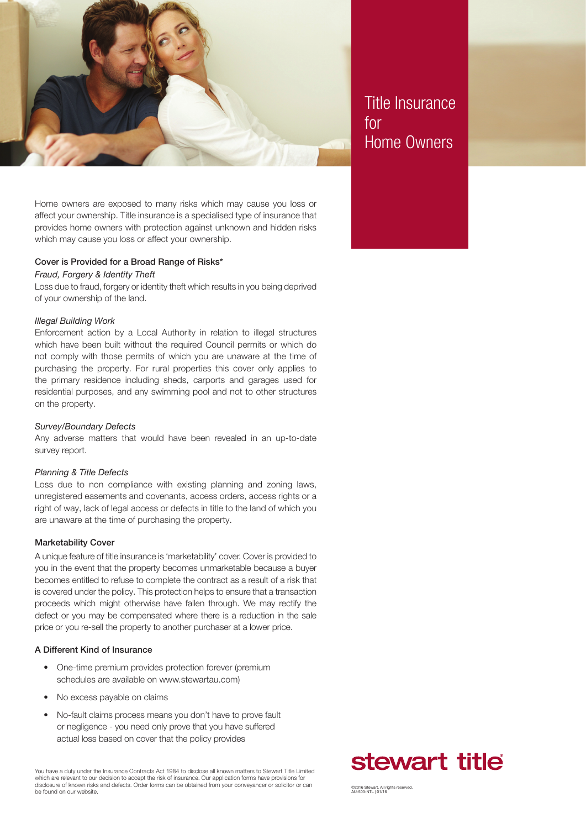

Title Insurance for Home Owners

Home owners are exposed to many risks which may cause you loss or affect your ownership. Title insurance is a specialised type of insurance that provides home owners with protection against unknown and hidden risks which may cause you loss or affect your ownership.

## Cover is Provided for a Broad Range of Risks\*

# *Fraud, Forgery & Identity Theft*

Loss due to fraud, forgery or identity theft which results in you being deprived of your ownership of the land.

#### *Illegal Building Work*

Enforcement action by a Local Authority in relation to illegal structures which have been built without the required Council permits or which do not comply with those permits of which you are unaware at the time of purchasing the property. For rural properties this cover only applies to the primary residence including sheds, carports and garages used for residential purposes, and any swimming pool and not to other structures on the property.

#### *Survey/Boundary Defects*

Any adverse matters that would have been revealed in an up-to-date survey report.

### *Planning & Title Defects*

Loss due to non compliance with existing planning and zoning laws, unregistered easements and covenants, access orders, access rights or a right of way, lack of legal access or defects in title to the land of which you are unaware at the time of purchasing the property.

## Marketability Cover

A unique feature of title insurance is 'marketability' cover. Cover is provided to you in the event that the property becomes unmarketable because a buyer becomes entitled to refuse to complete the contract as a result of a risk that is covered under the policy. This protection helps to ensure that a transaction proceeds which might otherwise have fallen through. We may rectify the defect or you may be compensated where there is a reduction in the sale price or you re-sell the property to another purchaser at a lower price.

## A Different Kind of Insurance

- One-time premium provides protection forever (premium schedules are available on www.stewartau.com)
- No excess payable on claims
- No-fault claims process means you don't have to prove fault or negligence - you need only prove that you have suffered actual loss based on cover that the policy provides

You have a duty under the Insurance Contracts Act 1984 to disclose all known matters to Stewart Title Limited which are relevant to our decision to accept the risk of insurance. Our application forms have provisions for disclosure of known risks and defects. Order forms can be obtained from your conveyancer or solicitor or can be found on our website.